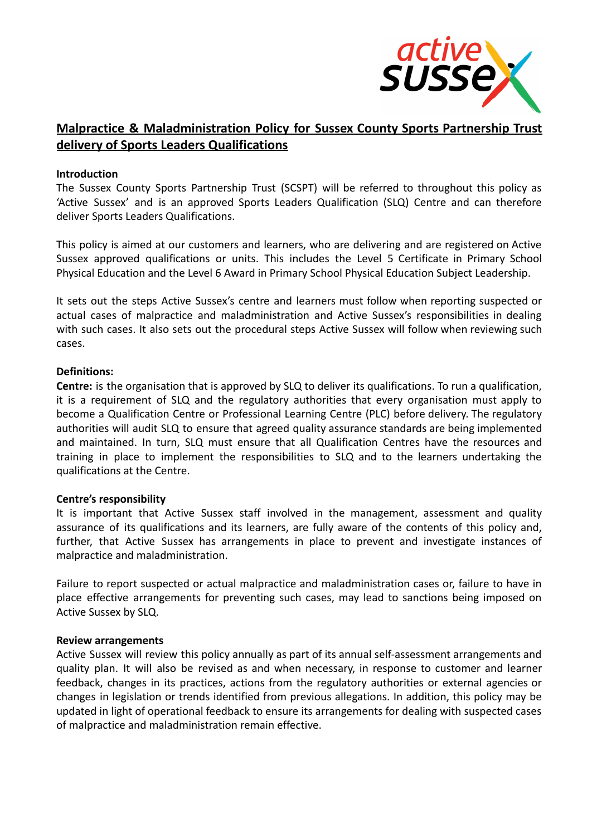

# **Malpractice & Maladministration Policy for Sussex County Sports Partnership Trust delivery of Sports Leaders Qualifications**

#### **Introduction**

The Sussex County Sports Partnership Trust (SCSPT) will be referred to throughout this policy as 'Active Sussex' and is an approved Sports Leaders Qualification (SLQ) Centre and can therefore deliver Sports Leaders Qualifications.

This policy is aimed at our customers and learners, who are delivering and are registered on Active Sussex approved qualifications or units. This includes the Level 5 Certificate in Primary School Physical Education and the Level 6 Award in Primary School Physical Education Subject Leadership.

It sets out the steps Active Sussex's centre and learners must follow when reporting suspected or actual cases of malpractice and maladministration and Active Sussex's responsibilities in dealing with such cases. It also sets out the procedural steps Active Sussex will follow when reviewing such cases.

#### **Definitions:**

**Centre:** is the organisation that is approved by SLQ to deliver its qualifications. To run a qualification, it is a requirement of SLQ and the regulatory authorities that every organisation must apply to become a Qualification Centre or Professional Learning Centre (PLC) before delivery. The regulatory authorities will audit SLQ to ensure that agreed quality assurance standards are being implemented and maintained. In turn, SLQ must ensure that all Qualification Centres have the resources and training in place to implement the responsibilities to SLQ and to the learners undertaking the qualifications at the Centre.

# **Centre's responsibility**

It is important that Active Sussex staff involved in the management, assessment and quality assurance of its qualifications and its learners, are fully aware of the contents of this policy and, further, that Active Sussex has arrangements in place to prevent and investigate instances of malpractice and maladministration.

Failure to report suspected or actual malpractice and maladministration cases or, failure to have in place effective arrangements for preventing such cases, may lead to sanctions being imposed on Active Sussex by SLQ.

#### **Review arrangements**

Active Sussex will review this policy annually as part of its annual self-assessment arrangements and quality plan. It will also be revised as and when necessary, in response to customer and learner feedback, changes in its practices, actions from the regulatory authorities or external agencies or changes in legislation or trends identified from previous allegations. In addition, this policy may be updated in light of operational feedback to ensure its arrangements for dealing with suspected cases of malpractice and maladministration remain effective.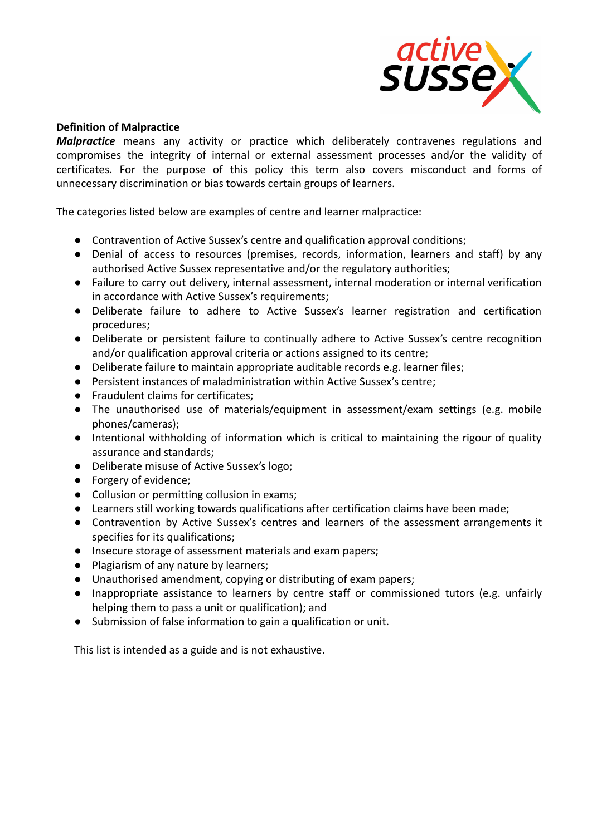

# **Definition of Malpractice**

*Malpractice* means any activity or practice which deliberately contravenes regulations and compromises the integrity of internal or external assessment processes and/or the validity of certificates. For the purpose of this policy this term also covers misconduct and forms of unnecessary discrimination or bias towards certain groups of learners.

The categories listed below are examples of centre and learner malpractice:

- Contravention of Active Sussex's centre and qualification approval conditions;
- Denial of access to resources (premises, records, information, learners and staff) by any authorised Active Sussex representative and/or the regulatory authorities;
- Failure to carry out delivery, internal assessment, internal moderation or internal verification in accordance with Active Sussex's requirements;
- Deliberate failure to adhere to Active Sussex's learner registration and certification procedures;
- Deliberate or persistent failure to continually adhere to Active Sussex's centre recognition and/or qualification approval criteria or actions assigned to its centre;
- Deliberate failure to maintain appropriate auditable records e.g. learner files;
- Persistent instances of maladministration within Active Sussex's centre;
- Fraudulent claims for certificates;
- The unauthorised use of materials/equipment in assessment/exam settings (e.g. mobile phones/cameras);
- Intentional withholding of information which is critical to maintaining the rigour of quality assurance and standards;
- Deliberate misuse of Active Sussex's logo;
- Forgery of evidence;
- Collusion or permitting collusion in exams;
- Learners still working towards qualifications after certification claims have been made;
- Contravention by Active Sussex's centres and learners of the assessment arrangements it specifies for its qualifications;
- Insecure storage of assessment materials and exam papers;
- Plagiarism of any nature by learners;
- Unauthorised amendment, copying or distributing of exam papers;
- Inappropriate assistance to learners by centre staff or commissioned tutors (e.g. unfairly helping them to pass a unit or qualification); and
- Submission of false information to gain a qualification or unit.

This list is intended as a guide and is not exhaustive.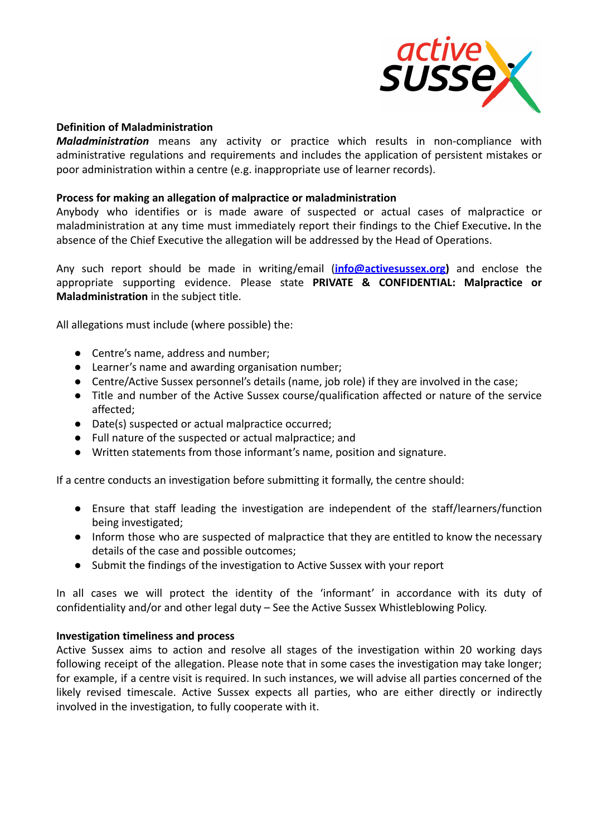

# **Definition of Maladministration**

*Maladministration* means any activity or practice which results in non-compliance with administrative regulations and requirements and includes the application of persistent mistakes or poor administration within a centre (e.g. inappropriate use of learner records).

#### **Process for making an allegation of malpractice or maladministration**

Anybody who identifies or is made aware of suspected or actual cases of malpractice or maladministration at any time must immediately report their findings to the Chief Executive**.** In the absence of the Chief Executive the allegation will be addressed by the Head of Operations.

Any such report should be made in writing/email (**[info@activesussex.org\)](mailto:info@activesussex.org)** and enclose the appropriate supporting evidence. Please state **PRIVATE & CONFIDENTIAL: Malpractice or Maladministration** in the subject title.

All allegations must include (where possible) the:

- Centre's name, address and number;
- Learner's name and awarding organisation number;
- Centre/Active Sussex personnel's details (name, job role) if they are involved in the case;
- Title and number of the Active Sussex course/qualification affected or nature of the service affected;
- Date(s) suspected or actual malpractice occurred;
- Full nature of the suspected or actual malpractice; and
- Written statements from those informant's name, position and signature.

If a centre conducts an investigation before submitting it formally, the centre should:

- Ensure that staff leading the investigation are independent of the staff/learners/function being investigated;
- Inform those who are suspected of malpractice that they are entitled to know the necessary details of the case and possible outcomes;
- Submit the findings of the investigation to Active Sussex with your report

In all cases we will protect the identity of the 'informant' in accordance with its duty of confidentiality and/or and other legal duty – See the Active Sussex Whistleblowing Policy.

#### **Investigation timeliness and process**

Active Sussex aims to action and resolve all stages of the investigation within 20 working days following receipt of the allegation. Please note that in some cases the investigation may take longer; for example, if a centre visit is required. In such instances, we will advise all parties concerned of the likely revised timescale. Active Sussex expects all parties, who are either directly or indirectly involved in the investigation, to fully cooperate with it.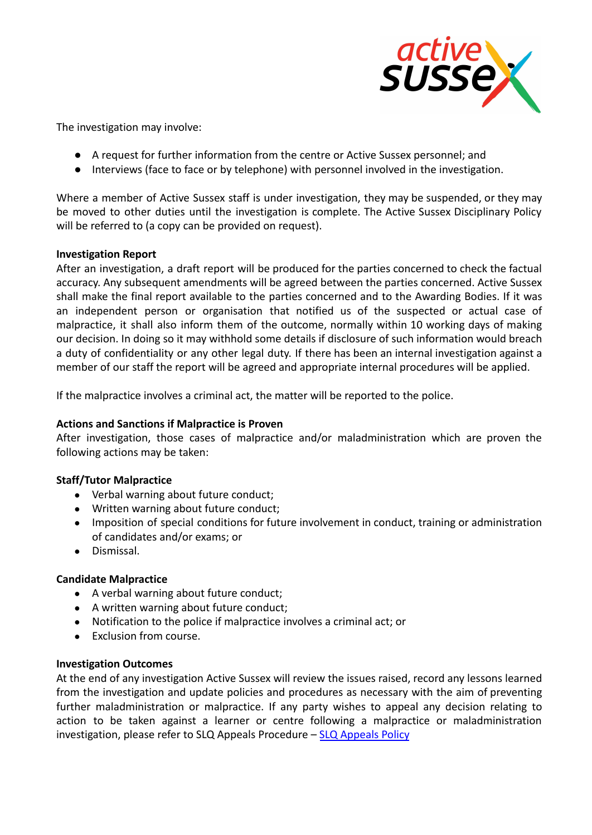

The investigation may involve:

- A request for further information from the centre or Active Sussex personnel; and
- Interviews (face to face or by telephone) with personnel involved in the investigation.

Where a member of Active Sussex staff is under investigation, they may be suspended, or they may be moved to other duties until the investigation is complete. The Active Sussex Disciplinary Policy will be referred to (a copy can be provided on request).

# **Investigation Report**

After an investigation, a draft report will be produced for the parties concerned to check the factual accuracy. Any subsequent amendments will be agreed between the parties concerned. Active Sussex shall make the final report available to the parties concerned and to the Awarding Bodies. If it was an independent person or organisation that notified us of the suspected or actual case of malpractice, it shall also inform them of the outcome, normally within 10 working days of making our decision. In doing so it may withhold some details if disclosure of such information would breach a duty of confidentiality or any other legal duty. If there has been an internal investigation against a member of our staff the report will be agreed and appropriate internal procedures will be applied.

If the malpractice involves a criminal act, the matter will be reported to the police.

# **Actions and Sanctions if Malpractice is Proven**

After investigation, those cases of malpractice and/or maladministration which are proven the following actions may be taken:

# **Staff/Tutor Malpractice**

- Verbal warning about future conduct;
- Written warning about future conduct;
- Imposition of special conditions for future involvement in conduct, training or administration of candidates and/or exams; or
- Dismissal.

# **Candidate Malpractice**

- A verbal warning about future conduct;
- A written warning about future conduct;
- Notification to the police if malpractice involves a criminal act; or
- Exclusion from course.

# **Investigation Outcomes**

At the end of any investigation Active Sussex will review the issues raised, record any lessons learned from the investigation and update policies and procedures as necessary with the aim of preventing further maladministration or malpractice. If any party wishes to appeal any decision relating to action to be taken against a learner or centre following a malpractice or maladministration investigation, please refer to SLQ Appeals Procedure – [SLQ Appeals Policy](https://leap.slqskills.org/media/1010/slp001-appeals-policy-version-6-feb-19.pdf)